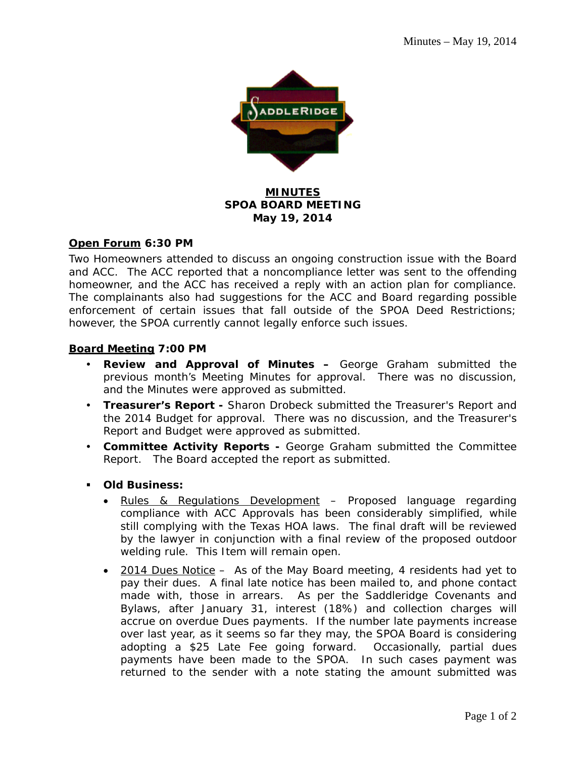

### **MINUTES SPOA BOARD MEETING May 19, 2014**

### **Open Forum 6:30 PM**

Two Homeowners attended to discuss an ongoing construction issue with the Board and ACC. The ACC reported that a noncompliance letter was sent to the offending homeowner, and the ACC has received a reply with an action plan for compliance. The complainants also had suggestions for the ACC and Board regarding possible enforcement of certain issues that fall outside of the SPOA Deed Restrictions; however, the SPOA currently cannot legally enforce such issues.

### **Board Meeting 7:00 PM**

- **Review and Approval of Minutes –** George Graham submitted the previous month's Meeting Minutes for approval. There was no discussion, and the Minutes were approved as submitted.
- **Treasurer's Report** Sharon Drobeck submitted the Treasurer's Report and the 2014 Budget for approval. There was no discussion, and the Treasurer's Report and Budget were approved as submitted.
- **Committee Activity Reports** George Graham submitted the Committee Report. The Board accepted the report as submitted.
- **Old Business:** 
	- Rules & Regulations Development Proposed language regarding compliance with ACC Approvals has been considerably simplified, while still complying with the Texas HOA laws. The final draft will be reviewed by the lawyer in conjunction with a final review of the proposed outdoor welding rule. This Item will remain open.
	- 2014 Dues Notice As of the May Board meeting, 4 residents had yet to pay their dues. A final late notice has been mailed to, and phone contact made with, those in arrears. As per the Saddleridge Covenants and Bylaws, after January 31, interest (18%) and collection charges will accrue on overdue Dues payments. If the number late payments increase over last year, as it seems so far they may, the SPOA Board is considering adopting a \$25 Late Fee going forward. Occasionally, partial dues payments have been made to the SPOA. In such cases payment was returned to the sender with a note stating the amount submitted was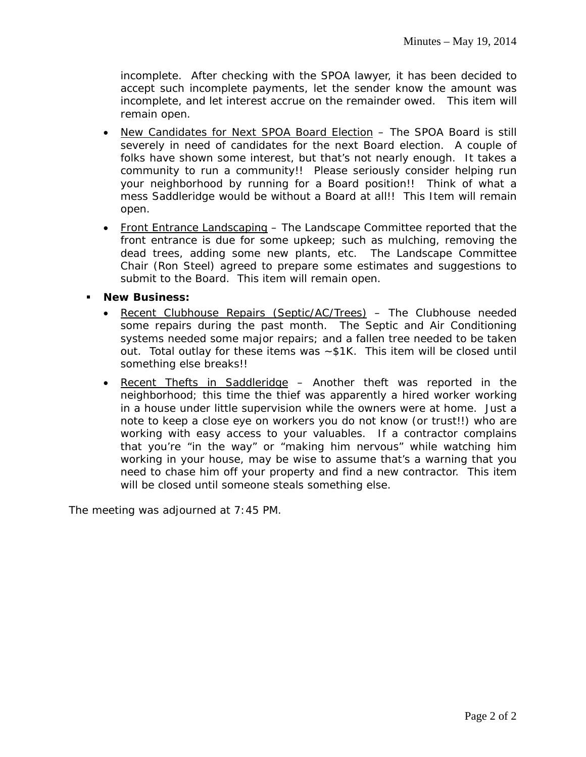incomplete. After checking with the SPOA lawyer, it has been decided to accept such incomplete payments, let the sender know the amount was incomplete, and let interest accrue on the remainder owed. This item will remain open.

- New Candidates for Next SPOA Board Election The SPOA Board is still severely in need of candidates for the next Board election. A couple of folks have shown some interest, but that's not nearly enough. It takes a community to run a community!! Please seriously consider helping run your neighborhood by running for a Board position!! Think of what a mess Saddleridge would be without a Board at all!! This Item will remain open.
- Front Entrance Landscaping The Landscape Committee reported that the front entrance is due for some upkeep; such as mulching, removing the dead trees, adding some new plants, etc. The Landscape Committee Chair (Ron Steel) agreed to prepare some estimates and suggestions to submit to the Board. This item will remain open.

**New Business:**

- Recent Clubhouse Repairs (Septic/AC/Trees) The Clubhouse needed some repairs during the past month. The Septic and Air Conditioning systems needed some major repairs; and a fallen tree needed to be taken out. Total outlay for these items was ~\$1K. This item will be closed until something else breaks!!
- Recent Thefts in Saddleridge Another theft was reported in the neighborhood; this time the thief was apparently a hired worker working in a house under little supervision while the owners were at home. Just a note to keep a close eye on workers you do not know (or trust!!) who are working with easy access to your valuables. If a contractor complains that you're "in the way" or "making him nervous" while watching him working in your house, may be wise to assume that's a warning that you need to chase him off your property and find a new contractor. This item will be closed until someone steals something else.

The meeting was adjourned at 7:45 PM.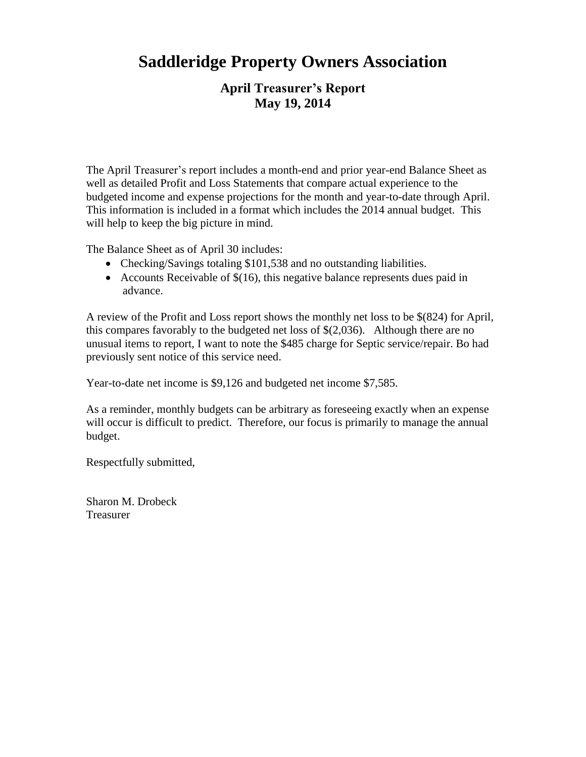# **Saddleridge Property Owners Association**

## **April Treasurer's Report May 19, 2014**

The April Treasurer's report includes a month-end and prior year-end Balance Sheet as well as detailed Profit and Loss Statements that compare actual experience to the budgeted income and expense projections for the month and year-to-date through April. This information is included in a format which includes the 2014 annual budget. This will help to keep the big picture in mind.

The Balance Sheet as of April 30 includes:

- Checking/Savings totaling \$101,538 and no outstanding liabilities.
- Accounts Receivable of  $$(16)$ , this negative balance represents dues paid in advance.

A review of the Profit and Loss report shows the monthly net loss to be \$(824) for April, this compares favorably to the budgeted net loss of \$(2,036). Although there are no unusual items to report, I want to note the \$485 charge for Septic service/repair. Bo had previously sent notice of this service need.

Year-to-date net income is \$9,126 and budgeted net income \$7,585.

As a reminder, monthly budgets can be arbitrary as foreseeing exactly when an expense will occur is difficult to predict. Therefore, our focus is primarily to manage the annual budget.

Respectfully submitted,

Sharon M. Drobeck Treasurer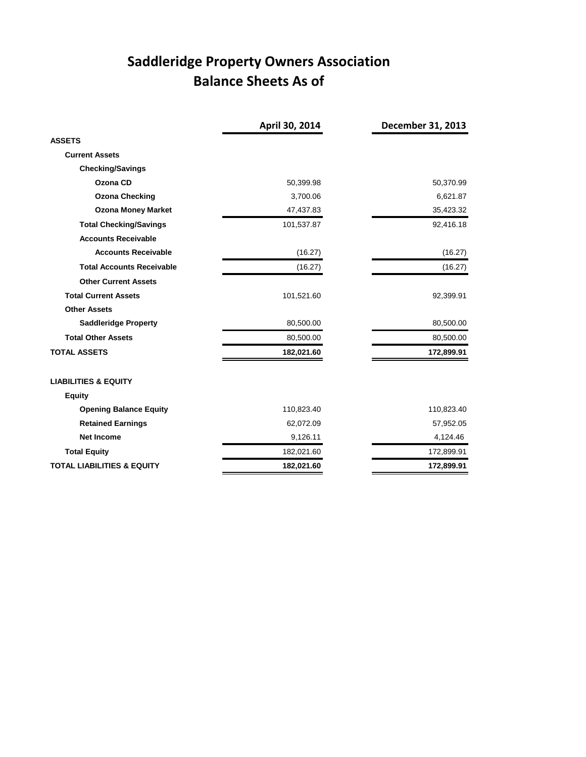# **Saddleridge Property Owners Association Balance Sheets As of**

|                                       | April 30, 2014 | December 31, 2013 |
|---------------------------------------|----------------|-------------------|
| <b>ASSETS</b>                         |                |                   |
| <b>Current Assets</b>                 |                |                   |
| <b>Checking/Savings</b>               |                |                   |
| Ozona CD                              | 50,399.98      | 50,370.99         |
| <b>Ozona Checking</b>                 | 3,700.06       | 6,621.87          |
| <b>Ozona Money Market</b>             | 47,437.83      | 35,423.32         |
| <b>Total Checking/Savings</b>         | 101,537.87     | 92,416.18         |
| <b>Accounts Receivable</b>            |                |                   |
| <b>Accounts Receivable</b>            | (16.27)        | (16.27)           |
| <b>Total Accounts Receivable</b>      | (16.27)        | (16.27)           |
| <b>Other Current Assets</b>           |                |                   |
| <b>Total Current Assets</b>           | 101,521.60     | 92,399.91         |
| <b>Other Assets</b>                   |                |                   |
| <b>Saddleridge Property</b>           | 80,500.00      | 80,500.00         |
| <b>Total Other Assets</b>             | 80,500.00      | 80,500.00         |
| <b>TOTAL ASSETS</b>                   | 182,021.60     | 172,899.91        |
| <b>LIABILITIES &amp; EQUITY</b>       |                |                   |
| <b>Equity</b>                         |                |                   |
| <b>Opening Balance Equity</b>         | 110,823.40     | 110,823.40        |
| <b>Retained Earnings</b>              | 62,072.09      | 57,952.05         |
| <b>Net Income</b>                     | 9,126.11       | 4,124.46          |
| <b>Total Equity</b>                   | 182,021.60     | 172,899.91        |
| <b>TOTAL LIABILITIES &amp; EQUITY</b> | 182,021.60     | 172,899.91        |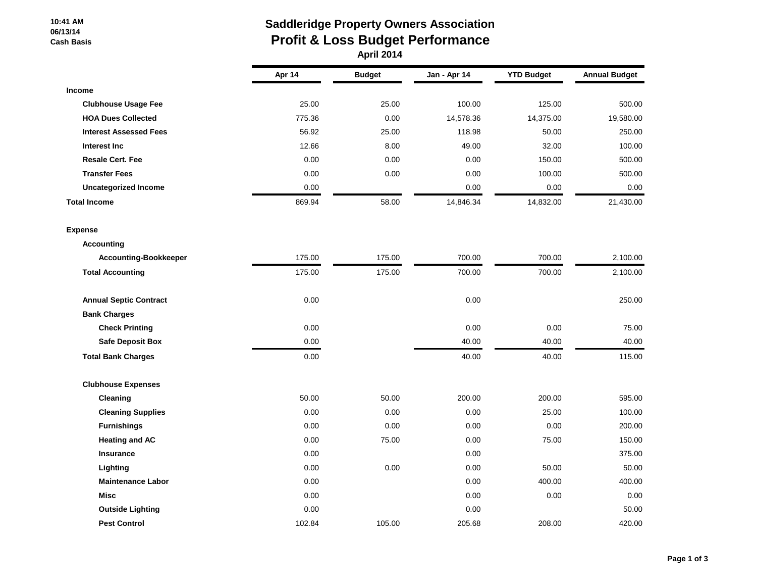#### **10:41 AM 06/13/14 Cash Basis**

## **Saddleridge Property Owners Association Profit & Loss Budget Performance**

 **April 2014**

|                               | Apr 14 | <b>Budget</b> | Jan - Apr 14 | <b>YTD Budget</b> | <b>Annual Budget</b> |
|-------------------------------|--------|---------------|--------------|-------------------|----------------------|
| <b>Income</b>                 |        |               |              |                   |                      |
| <b>Clubhouse Usage Fee</b>    | 25.00  | 25.00         | 100.00       | 125.00            | 500.00               |
| <b>HOA Dues Collected</b>     | 775.36 | 0.00          | 14,578.36    | 14,375.00         | 19,580.00            |
| <b>Interest Assessed Fees</b> | 56.92  | 25.00         | 118.98       | 50.00             | 250.00               |
| Interest Inc                  | 12.66  | 8.00          | 49.00        | 32.00             | 100.00               |
| <b>Resale Cert. Fee</b>       | 0.00   | 0.00          | 0.00         | 150.00            | 500.00               |
| <b>Transfer Fees</b>          | 0.00   | 0.00          | 0.00         | 100.00            | 500.00               |
| <b>Uncategorized Income</b>   | 0.00   |               | 0.00         | 0.00              | 0.00                 |
| <b>Total Income</b>           | 869.94 | 58.00         | 14,846.34    | 14,832.00         | 21,430.00            |
| <b>Expense</b>                |        |               |              |                   |                      |
| <b>Accounting</b>             |        |               |              |                   |                      |
| <b>Accounting-Bookkeeper</b>  | 175.00 | 175.00        | 700.00       | 700.00            | 2,100.00             |
| <b>Total Accounting</b>       | 175.00 | 175.00        | 700.00       | 700.00            | 2,100.00             |
| <b>Annual Septic Contract</b> | 0.00   |               | 0.00         |                   | 250.00               |
| <b>Bank Charges</b>           |        |               |              |                   |                      |
| <b>Check Printing</b>         | 0.00   |               | 0.00         | 0.00              | 75.00                |
| <b>Safe Deposit Box</b>       | 0.00   |               | 40.00        | 40.00             | 40.00                |
| <b>Total Bank Charges</b>     | 0.00   |               | 40.00        | 40.00             | 115.00               |
| <b>Clubhouse Expenses</b>     |        |               |              |                   |                      |
| Cleaning                      | 50.00  | 50.00         | 200.00       | 200.00            | 595.00               |
| <b>Cleaning Supplies</b>      | 0.00   | 0.00          | 0.00         | 25.00             | 100.00               |
| <b>Furnishings</b>            | 0.00   | 0.00          | 0.00         | 0.00              | 200.00               |
| <b>Heating and AC</b>         | 0.00   | 75.00         | 0.00         | 75.00             | 150.00               |
| Insurance                     | 0.00   |               | 0.00         |                   | 375.00               |
| Lighting                      | 0.00   | 0.00          | 0.00         | 50.00             | 50.00                |
| <b>Maintenance Labor</b>      | 0.00   |               | 0.00         | 400.00            | 400.00               |
| <b>Misc</b>                   | 0.00   |               | 0.00         | 0.00              | 0.00                 |
| <b>Outside Lighting</b>       | 0.00   |               | 0.00         |                   | 50.00                |
| <b>Pest Control</b>           | 102.84 | 105.00        | 205.68       | 208.00            | 420.00               |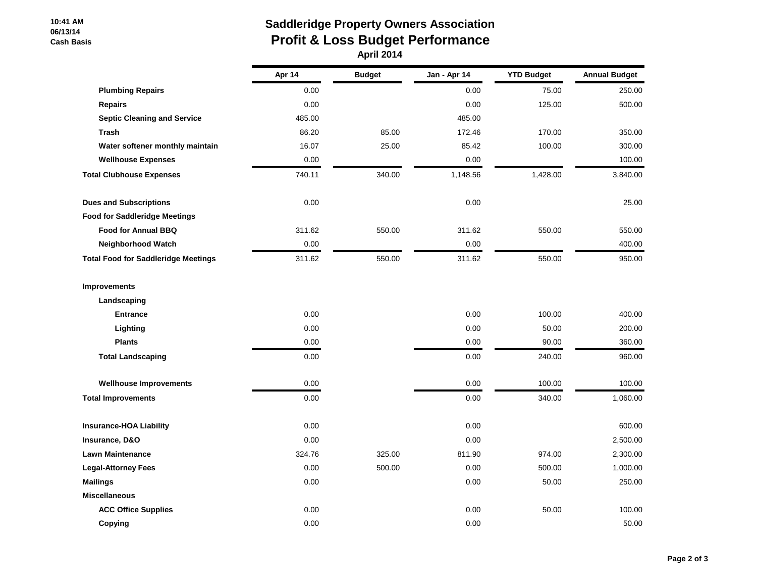#### **10:41 AM 06/13/14 Cash Basis**

# **Saddleridge Property Owners Association Profit & Loss Budget Performance**

|                                            | Apr 14 | <b>Budget</b> | Jan - Apr 14 | <b>YTD Budget</b> | <b>Annual Budget</b> |
|--------------------------------------------|--------|---------------|--------------|-------------------|----------------------|
|                                            |        |               |              |                   |                      |
| <b>Plumbing Repairs</b>                    | 0.00   |               | 0.00         | 75.00             | 250.00               |
| <b>Repairs</b>                             | 0.00   |               | 0.00         | 125.00            | 500.00               |
| <b>Septic Cleaning and Service</b>         | 485.00 |               | 485.00       |                   |                      |
| <b>Trash</b>                               | 86.20  | 85.00         | 172.46       | 170.00            | 350.00               |
| Water softener monthly maintain            | 16.07  | 25.00         | 85.42        | 100.00            | 300.00               |
| <b>Wellhouse Expenses</b>                  | 0.00   |               | 0.00         |                   | 100.00               |
| <b>Total Clubhouse Expenses</b>            | 740.11 | 340.00        | 1,148.56     | 1,428.00          | 3,840.00             |
| <b>Dues and Subscriptions</b>              | 0.00   |               | 0.00         |                   | 25.00                |
| <b>Food for Saddleridge Meetings</b>       |        |               |              |                   |                      |
| <b>Food for Annual BBQ</b>                 | 311.62 | 550.00        | 311.62       | 550.00            | 550.00               |
| Neighborhood Watch                         | 0.00   |               | 0.00         |                   | 400.00               |
| <b>Total Food for Saddleridge Meetings</b> | 311.62 | 550.00        | 311.62       | 550.00            | 950.00               |
| Improvements                               |        |               |              |                   |                      |
| Landscaping                                |        |               |              |                   |                      |
| <b>Entrance</b>                            | 0.00   |               | 0.00         | 100.00            | 400.00               |
| Lighting                                   | 0.00   |               | 0.00         | 50.00             | 200.00               |
| <b>Plants</b>                              | 0.00   |               | 0.00         | 90.00             | 360.00               |
| <b>Total Landscaping</b>                   | 0.00   |               | 0.00         | 240.00            | 960.00               |
| <b>Wellhouse Improvements</b>              | 0.00   |               | 0.00         | 100.00            | 100.00               |
| <b>Total Improvements</b>                  | 0.00   |               | 0.00         | 340.00            | 1,060.00             |
| <b>Insurance-HOA Liability</b>             | 0.00   |               | 0.00         |                   | 600.00               |
| Insurance, D&O                             | 0.00   |               | 0.00         |                   | 2,500.00             |
| <b>Lawn Maintenance</b>                    | 324.76 | 325.00        | 811.90       | 974.00            | 2,300.00             |
| <b>Legal-Attorney Fees</b>                 | 0.00   | 500.00        | 0.00         | 500.00            | 1,000.00             |
| <b>Mailings</b>                            | 0.00   |               | 0.00         | 50.00             | 250.00               |
| <b>Miscellaneous</b>                       |        |               |              |                   |                      |
| <b>ACC Office Supplies</b>                 | 0.00   |               | 0.00         | 50.00             | 100.00               |
| Copying                                    | 0.00   |               | 0.00         |                   | 50.00                |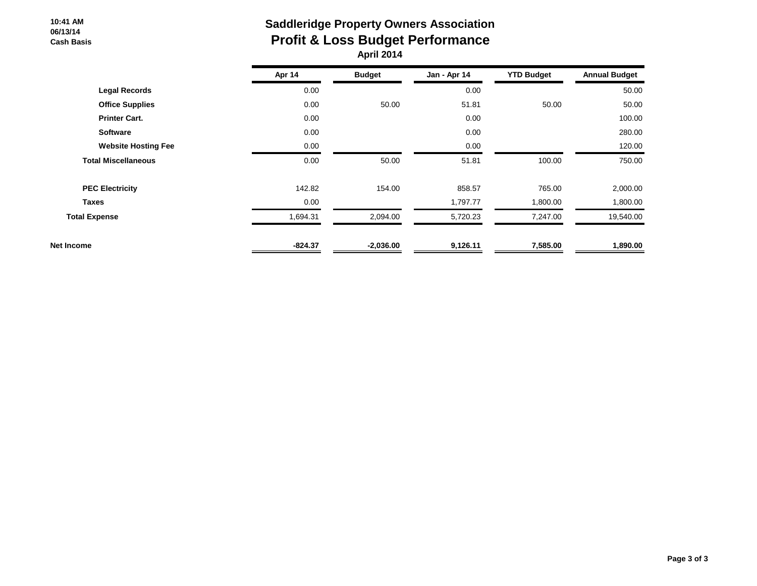#### **10:41 AM 06/13/14 Cash Basis**

### **Saddleridge Property Owners Association Profit & Loss Budget Performance April 2014**

|                            | Apr 14    | <b>Budget</b> | Jan - Apr 14 | <b>YTD Budget</b> | <b>Annual Budget</b> |
|----------------------------|-----------|---------------|--------------|-------------------|----------------------|
| <b>Legal Records</b>       | 0.00      |               | 0.00         |                   | 50.00                |
| <b>Office Supplies</b>     | 0.00      | 50.00         | 51.81        | 50.00             | 50.00                |
| <b>Printer Cart.</b>       | 0.00      |               | 0.00         |                   | 100.00               |
| <b>Software</b>            | 0.00      |               | 0.00         |                   | 280.00               |
| <b>Website Hosting Fee</b> | 0.00      |               | 0.00         |                   | 120.00               |
| <b>Total Miscellaneous</b> | 0.00      | 50.00         | 51.81        | 100.00            | 750.00               |
| <b>PEC Electricity</b>     | 142.82    | 154.00        | 858.57       | 765.00            | 2,000.00             |
| <b>Taxes</b>               | 0.00      |               | 1,797.77     | 1,800.00          | 1,800.00             |
| <b>Total Expense</b>       | .694.31   | 2,094.00      | 5,720.23     | 7,247.00          | 19,540.00            |
| <b>Net Income</b>          | $-824.37$ | $-2,036.00$   | 9,126.11     | 7,585.00          | 1,890.00             |